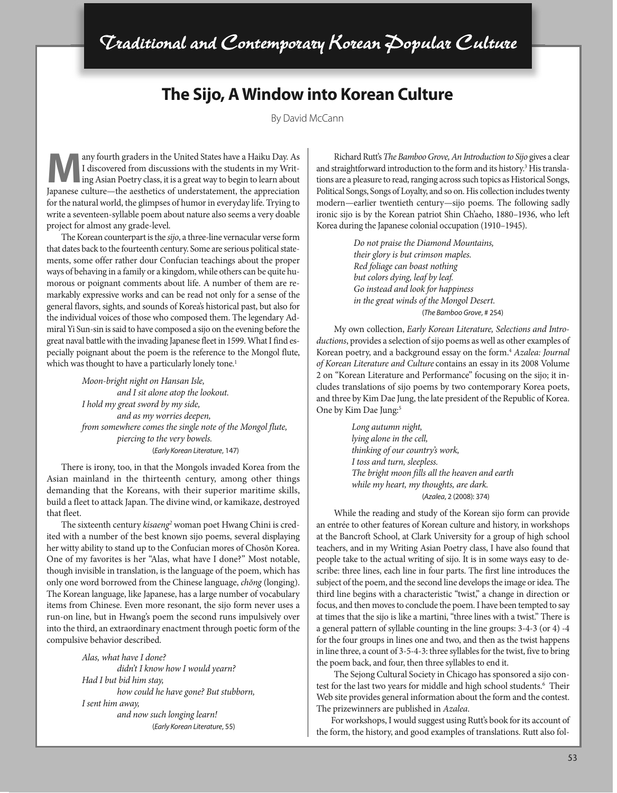## **The Sijo, A Window into Korean Culture**

By David McCann

any fourth graders in the United States have a Haiku Day. As I discovered from discussions with the students in my Writing Asian Poetry class, it is a great way to begin to learn about Japanese culture—the aesthetics of understatement, the appreciation for the natural world, the glimpses of humor in everyday life. Trying to write a seventeen-syllable poem about nature also seems a very doable project for almost any grade-level.

The Korean counterpart is the *sijo*, a three-line vernacular verse form that dates back to the fourteenth century. Some are serious political statements, some offer rather dour Confucian teachings about the proper ways of behaving in a family or a kingdom, while others can be quite humorous or poignant comments about life. A number of them are remarkably expressive works and can be read not only for a sense of the general flavors, sights, and sounds of Korea's historical past, but also for the individual voices of those who composed them. The legendary Admiral Yi Sun-sin is said to have composed a sijo on the evening before the great naval battle with the invading Japanese fleet in 1599. What I find especially poignant about the poem is the reference to the Mongol flute, which was thought to have a particularly lonely tone.<sup>1</sup>

> *Moon-bright night on Hansan Isle, and I sit alone atop the lookout. I hold my great sword by my side, and as my worries deepen, from somewhere comes the single note of the Mongol flute, piercing to the very bowels.* (*Early Korean Literature*, 147)

There is irony, too, in that the Mongols invaded Korea from the Asian mainland in the thirteenth century, among other things demanding that the Koreans, with their superior maritime skills, build a fleet to attack Japan. The divine wind, or kamikaze, destroyed that fleet.

The sixteenth century *kisaeng*<sup>2</sup> woman poet Hwang Chini is credited with a number of the best known sijo poems, several displaying her witty ability to stand up to the Confucian mores of Chosŏn Korea. One of my favorites is her "Alas, what have I done?" Most notable, though invisible in translation, is the language of the poem, which has only one word borrowed from the Chinese language, *chŏng* (longing). The Korean language, like Japanese, has a large number of vocabulary items from Chinese. Even more resonant, the sijo form never uses a run-on line, but in Hwang's poem the second runs impulsively over into the third, an extraordinary enactment through poetic form of the compulsive behavior described.

> *Alas, what have I done? didn't I know how I would yearn? Had I but bid him stay, how could he have gone? But stubborn, I sent him away, and now such longing learn!* (*Early Korean Literature*, 55)

Richard Rutt's *The Bamboo Grove, An Introduction to Sijo* gives a clear and straightforward introduction to the form and its history.<sup>3</sup> His translations are a pleasure to read, ranging across such topics as Historical Songs, Political Songs, Songs of Loyalty, and so on. His collection includes twenty modern—earlier twentieth century—sijo poems. The following sadly ironic sijo is by the Korean patriot Shin Ch'aeho, 1880–1936, who left Korea during the Japanese colonial occupation (1910–1945).

> *Do not praise the Diamond Mountains, their glory is but crimson maples. Red foliage can boast nothing but colors dying, leaf by leaf. Go instead and look for happiness in the great winds of the Mongol Desert.* (*The Bamboo Grove*, # 254)

My own collection, *Early Korean Literature, Selections and Introductions*, provides a selection of sijo poems as well as other examples of Korean poetry, and a background essay on the form.4 *Azalea: Journal of Korean Literature and Culture* contains an essay in its 2008 Volume 2 on "Korean Literature and Performance" focusing on the sijo; it includes translations of sijo poems by two contemporary Korea poets, and three by Kim Dae Jung, the late president of the Republic of Korea. One by Kim Dae Jung:<sup>5</sup>

> *Long autumn night, lying alone in the cell, thinking of our country's work, I toss and turn, sleepless. The bright moon fills all the heaven and earth while my heart, my thoughts, are dark.* (*Azalea*, 2 (2008): 374)

While the reading and study of the Korean sijo form can provide an entrée to other features of Korean culture and history, in workshops at the Bancroft School, at Clark University for a group of high school teachers, and in my Writing Asian Poetry class, I have also found that people take to the actual writing of sijo. It is in some ways easy to describe: three lines, each line in four parts. The first line introduces the subject of the poem, and the second line develops the image or idea. The third line begins with a characteristic "twist," a change in direction or focus, and then moves to conclude the poem. I have been tempted to say at times that the sijo is like a martini, "three lines with a twist." There is a general pattern of syllable counting in the line groups: 3-4-3 (or 4) -4 for the four groups in lines one and two, and then as the twist happens in line three, a count of 3-5-4-3: three syllables for the twist, five to bring the poem back, and four, then three syllables to end it.

The Sejong Cultural Society in Chicago has sponsored a sijo contest for the last two years for middle and high school students.<sup>6</sup> Their Web site provides general information about the form and the contest. The prizewinners are published in *Azalea*.

For workshops, I would suggest using Rutt's book for its account of the form, the history, and good examples of translations. Rutt also fol-